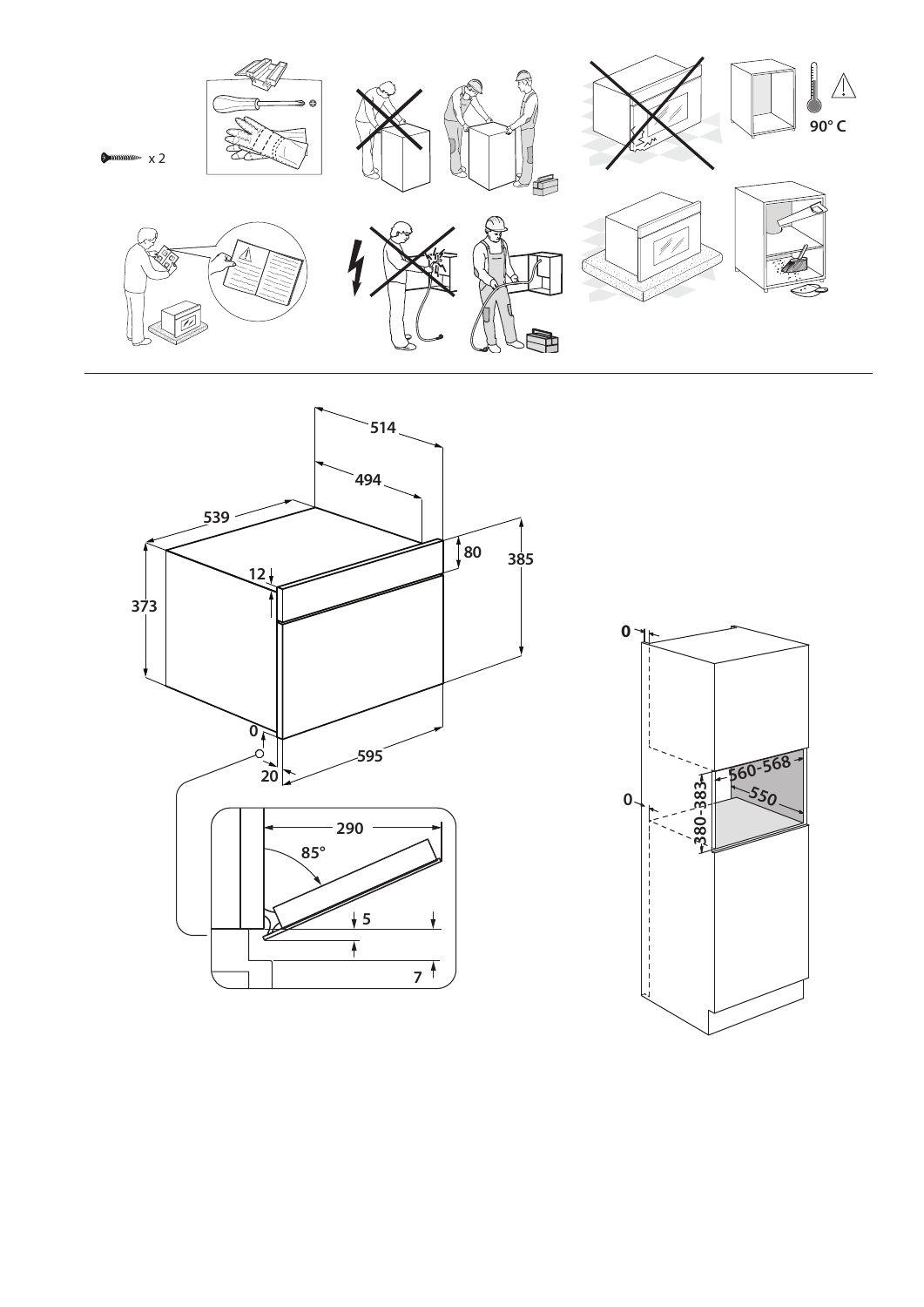



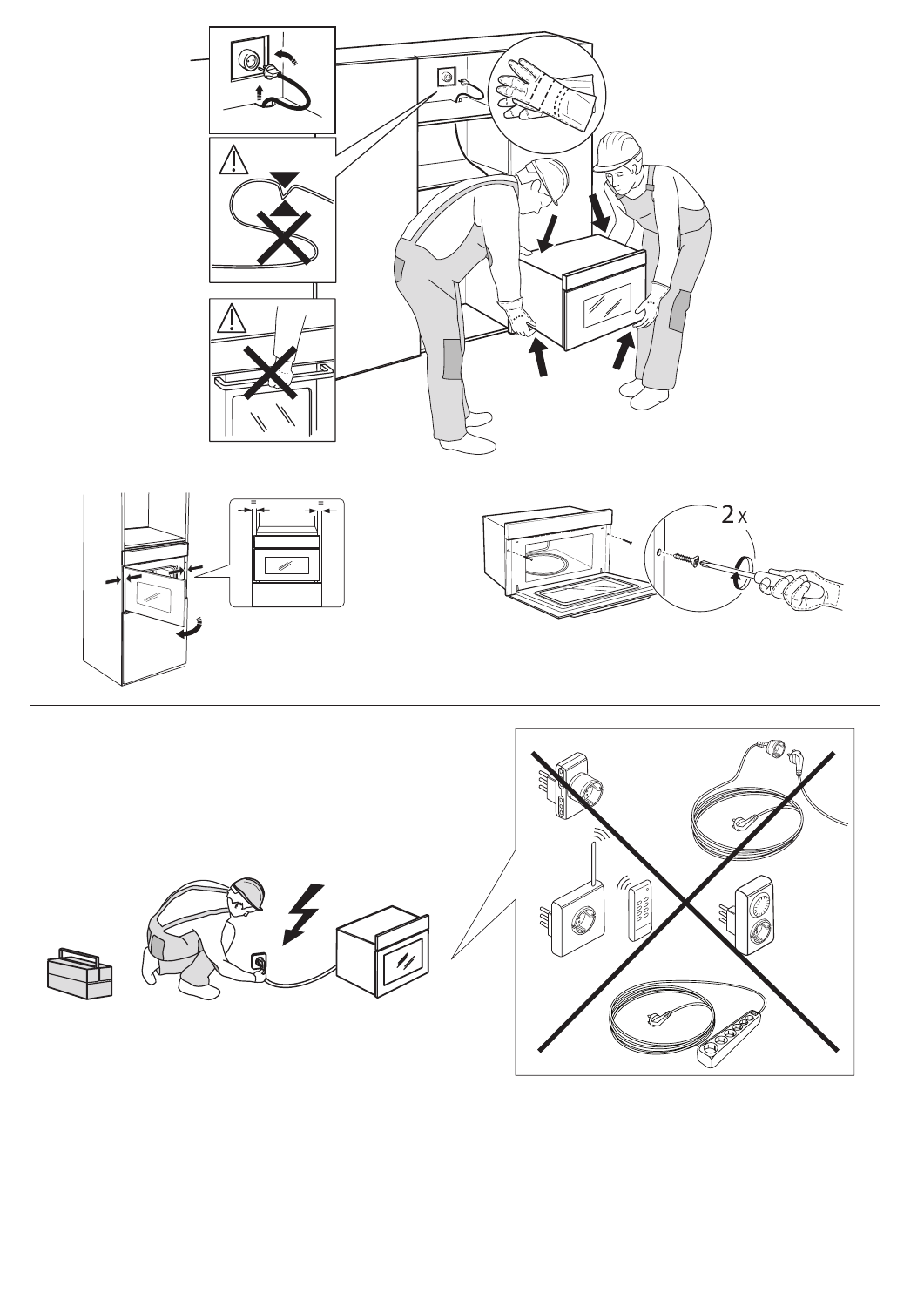

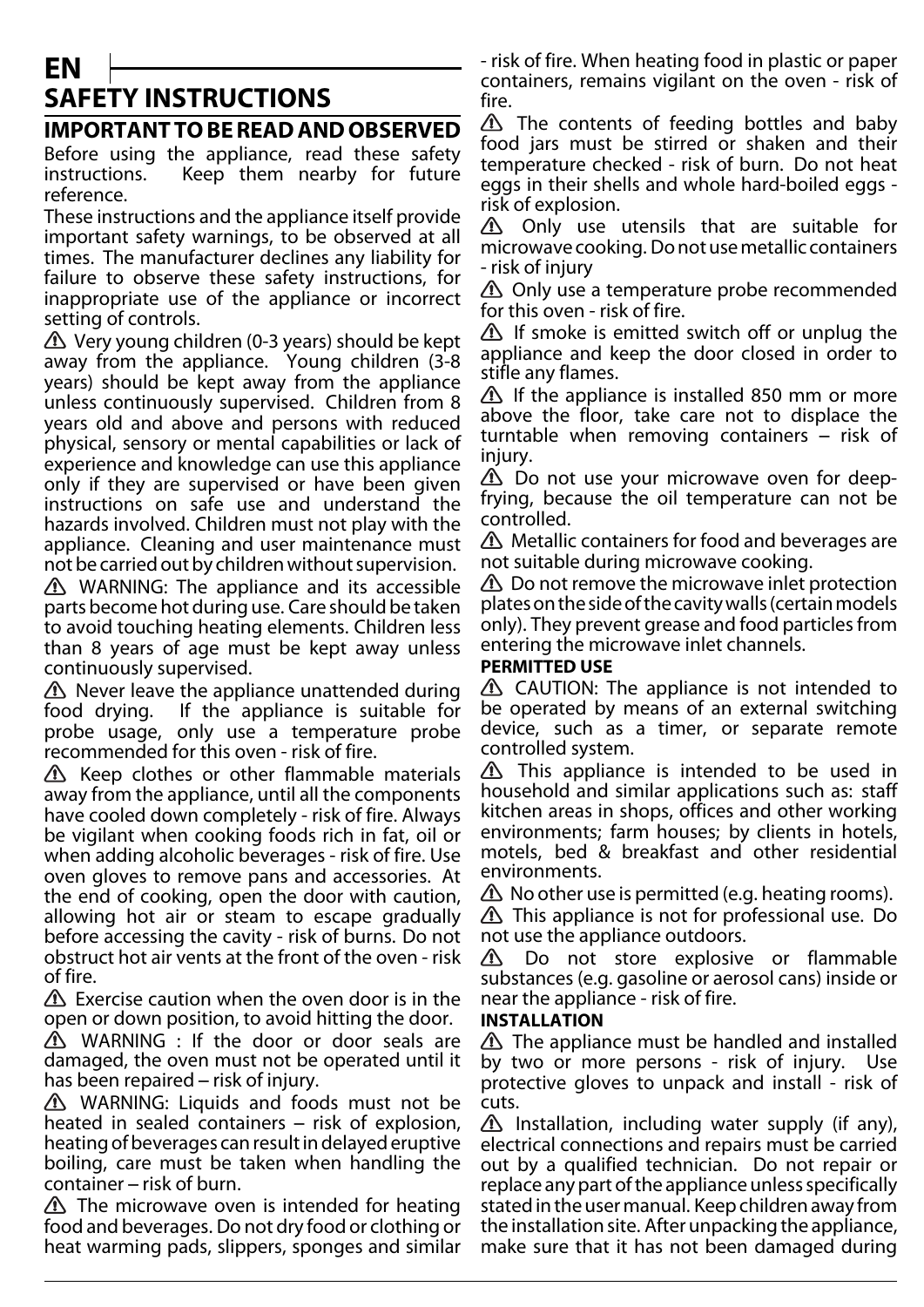# **EN SAFETY INSTRUCTIONS**

## **IMPORTANT TO BE READ AND OBSERVED**

Before using the appliance, read these safety instructions. Keep them nearby for future reference.

These instructions and the appliance itself provide important safety warnings, to be observed at all times. The manufacturer declines any liability for failure to observe these safety instructions, for inappropriate use of the appliance or incorrect setting of controls.

 $\triangle$  Very young children (0-3 years) should be kept away from the appliance. Young children (3-8 years) should be kept away from the appliance unless continuously supervised. Children from 8 years old and above and persons with reduced physical, sensory or mental capabilities or lack of experience and knowledge can use this appliance only if they are supervised or have been given instructions on safe use and understand the hazards involved. Children must not play with the appliance. Cleaning and user maintenance must not be carried out by children without supervision.

**A** WARNING: The appliance and its accessible parts become hot during use. Care should be taken to avoid touching heating elements. Children less than 8 years of age must be kept away unless continuously supervised.

 $\triangle$  Never leave the appliance unattended during food drying. If the appliance is suitable for probe usage, only use a temperature probe recommended for this oven - risk of fire.

 $\Lambda$  Keep clothes or other flammable materials away from the appliance, until all the components have cooled down completely - risk of fire. Always be vigilant when cooking foods rich in fat, oil or when adding alcoholic beverages - risk of fire. Use oven gloves to remove pans and accessories. At the end of cooking, open the door with caution, allowing hot air or steam to escape gradually before accessing the cavity - risk of burns. Do not obstruct hot air vents at the front of the oven - risk of fire.

 $\triangle$  Exercise caution when the oven door is in the open or down position, to avoid hitting the door.

WARNING : If the door or door seals are damaged, the oven must not be operated until it has been repaired – risk of injury.

 $\triangle$  WARNING: Liquids and foods must not be heated in sealed containers – risk of explosion, heating of beverages can result in delayed eruptive boiling, care must be taken when handling the container – risk of burn.

 $\triangle$  The microwave oven is intended for heating food and beverages. Do not dry food or clothing or heat warming pads, slippers, sponges and similar - risk of fire. When heating food in plastic or paper containers, remains vigilant on the oven - risk of fire.

 $\triangle$  The contents of feeding bottles and baby food jars must be stirred or shaken and their temperature checked - risk of burn. Do not heat eggs in their shells and whole hard-boiled eggs risk of explosion.

Only use utensils that are suitable for microwave cooking. Do not use metallic containers - risk of injury

 $\triangle$  Only use a temperature probe recommended for this oven - risk of fire.

 $\triangle$  If smoke is emitted switch off or unplug the appliance and keep the door closed in order to stifle any flames.

If the appliance is installed 850 mm or more above the floor, take care not to displace the turntable when removing containers – risk of injury.

**1** Do not use your microwave oven for deepfrying, because the oil temperature can not be controlled.

Metallic containers for food and beverages are not suitable during microwave cooking.

 $\triangle$  Do not remove the microwave inlet protection plates on the side of the cavity walls (certain models only). They prevent grease and food particles from entering the microwave inlet channels.

## **PERMITTED USE**

 $\triangle$  CAUTION: The appliance is not intended to be operated by means of an external switching device, such as a timer, or separate remote controlled system.

 $\triangle$  This appliance is intended to be used in household and similar applications such as: staff kitchen areas in shops, offices and other working environments; farm houses; by clients in hotels, motels, bed & breakfast and other residential environments.

 $\triangle$  No other use is permitted (e.g. heating rooms).  $\triangle$  This appliance is not for professional use. Do not use the appliance outdoors.

 $\Delta$ Do not store explosive or flammable substances (e.g. gasoline or aerosol cans) inside or near the appliance - risk of fire.

## **INSTALLATION**

 $\triangle$  The appliance must be handled and installed by two or more persons - risk of injury. Use protective gloves to unpack and install - risk of cuts.

 $\triangle$  Installation, including water supply (if any), electrical connections and repairs must be carried out by a qualified technician. Do not repair or replace any part of the appliance unless specifically stated in the user manual. Keep children away from the installation site. After unpacking the appliance, make sure that it has not been damaged during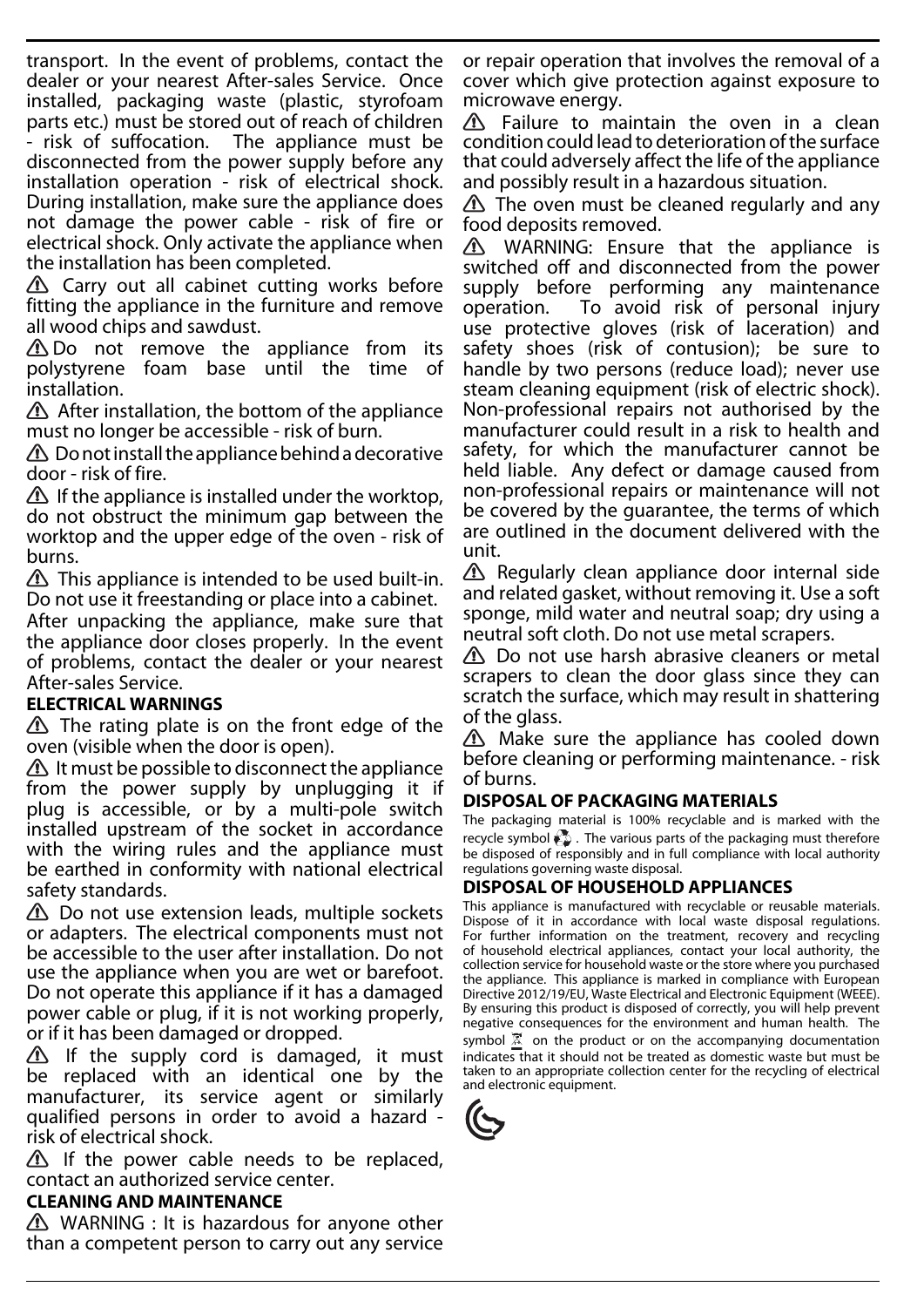transport. In the event of problems, contact the dealer or your nearest After-sales Service. Once installed, packaging waste (plastic, styrofoam parts etc.) must be stored out of reach of children - risk of suffocation. The appliance must be disconnected from the power supply before any installation operation - risk of electrical shock. During installation, make sure the appliance does not damage the power cable - risk of fire or electrical shock. Only activate the appliance when the installation has been completed.

 $\triangle$  Carry out all cabinet cutting works before fitting the appliance in the furniture and remove all wood chips and sawdust.

Do not remove the appliance from its polystyrene foam base until the time of installation.

 $\triangle$  After installation, the bottom of the appliance must no longer be accessible - risk of burn.

 $\triangle$  Do not install the appliance behind a decorative door - risk of fire.

If the appliance is installed under the worktop, do not obstruct the minimum gap between the worktop and the upper edge of the oven - risk of burns.

 $\triangle$  This appliance is intended to be used built-in. Do not use it freestanding or place into a cabinet.

After unpacking the appliance, make sure that the appliance door closes properly. In the event of problems, contact the dealer or your nearest After-sales Service.

## **ELECTRICAL WARNINGS**

 $\Delta$  The rating plate is on the front edge of the oven (visible when the door is open).

 $\triangle$  It must be possible to disconnect the appliance from the power supply by unplugging it if plug is accessible, or by a multi-pole switch installed upstream of the socket in accordance with the wiring rules and the appliance must be earthed in conformity with national electrical safety standards.

 $\Delta$  Do not use extension leads, multiple sockets or adapters. The electrical components must not be accessible to the user after installation. Do not use the appliance when you are wet or barefoot. Do not operate this appliance if it has a damaged power cable or plug, if it is not working properly, or if it has been damaged or dropped.

 $\triangle$  If the supply cord is damaged, it must be replaced with an identical one by the manufacturer, its service agent or similarly qualified persons in order to avoid a hazard risk of electrical shock.

 $\Delta$  If the power cable needs to be replaced, contact an authorized service center.

## **CLEANING AND MAINTENANCE**

 $\triangle$  WARNING : It is hazardous for anyone other than a competent person to carry out any service

or repair operation that involves the removal of a cover which give protection against exposure to microwave energy.

Failure to maintain the oven in a clean condition could lead to deterioration of the surface that could adversely affect the life of the appliance and possibly result in a hazardous situation.

 $\triangle$  The oven must be cleaned regularly and any food deposits removed.

WARNING: Ensure that the appliance is switched off and disconnected from the power supply before performing any maintenance operation. To avoid risk of personal injury use protective gloves (risk of laceration) and safety shoes (risk of contusion); be sure to handle by two persons (reduce load); never use steam cleaning equipment (risk of electric shock). Non-professional repairs not authorised by the manufacturer could result in a risk to health and safety, for which the manufacturer cannot be held liable. Any defect or damage caused from non-professional repairs or maintenance will not be covered by the guarantee, the terms of which are outlined in the document delivered with the unit.

 $\triangle$  Regularly clean appliance door internal side and related gasket, without removing it. Use a soft sponge, mild water and neutral soap; dry using a neutral soft cloth. Do not use metal scrapers.

 $\triangle$  Do not use harsh abrasive cleaners or metal scrapers to clean the door glass since they can scratch the surface, which may result in shattering of the glass.

 $\Delta$  Make sure the appliance has cooled down before cleaning or performing maintenance. - risk of burns.

## **DISPOSAL OF PACKAGING MATERIALS**

The packaging material is 100% recyclable and is marked with the recycle symbol  $\frac{1}{2}$ . The various parts of the packaging must therefore be disposed of responsibly and in full compliance with local authority regulations governing waste disposal.

## **DISPOSAL OF HOUSEHOLD APPLIANCES**

This appliance is manufactured with recyclable or reusable materials. Dispose of it in accordance with local waste disposal regulations. For further information on the treatment, recovery and recycling of household electrical appliances, contact your local authority, the collection service for household waste or the store where you purchased the appliance. This appliance is marked in compliance with European Directive 2012/19/EU, Waste Electrical and Electronic Equipment (WEEE). By ensuring this product is disposed of correctly, you will help prevent negative consequences for the environment and human health. The symbol  $\overline{X}$  on the product or on the accompanying documentation indicates that it should not be treated as domestic waste but must be taken to an appropriate collection center for the recycling of electrical and electronic equipment.